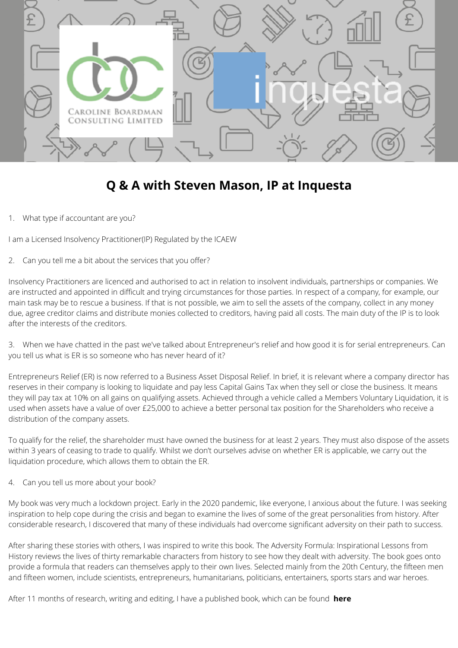

## **Q & A with Steven Mason, IP at Inquesta**

1. What type if accountant are you?

I am a Licensed Insolvency Practitioner(IP) Regulated by the ICAEW

2. Can you tell me a bit about the services that you offer?

Insolvency Practitioners are licenced and authorised to act in relation to insolvent individuals, partnerships or companies. We are instructed and appointed in difficult and trying circumstances for those parties. In respect of a company, for example, our main task may be to rescue a business. If that is not possible, we aim to sell the assets of the company, collect in any money due, agree creditor claims and distribute monies collected to creditors, having paid all costs. The main duty of the IP is to look after the interests of the creditors.

3. When we have chatted in the past we've talked about Entrepreneur's relief and how good it is for serial entrepreneurs. Can you tell us what is ER is so someone who has never heard of it?

Entrepreneurs Relief (ER) is now referred to a Business Asset Disposal Relief. In brief, it is relevant where a company director has reserves in their company is looking to liquidate and pay less Capital Gains Tax when they sell or close the business. It means they will pay tax at 10% on all gains on qualifying assets. Achieved through a vehicle called a Members Voluntary Liquidation, it is used when assets have a value of over £25,000 to achieve a better personal tax position for the Shareholders who receive a distribution of the company assets.

To qualify for the relief, the shareholder must have owned the business for at least 2 years. They must also dispose of the assets within 3 years of ceasing to trade to qualify. Whilst we don't ourselves advise on whether ER is applicable, we carry out the liquidation procedure, which allows them to obtain the ER.

4. Can you tell us more about your book?

My book was very much a lockdown project. Early in the 2020 pandemic, like everyone, I anxious about the future. I was seeking inspiration to help cope during the crisis and began to examine the lives of some of the great personalities from history. After considerable research, I discovered that many of these individuals had overcome significant adversity on their path to success.

After sharing these stories with others, I was inspired to write this book. The Adversity Formula: Inspirational Lessons from History reviews the lives of thirty remarkable characters from history to see how they dealt with adversity. The book goes onto provide a formula that readers can themselves apply to their own lives. Selected mainly from the 20th Century, the fifteen men and fifteen women, include scientists, entrepreneurs, humanitarians, politicians, entertainers, sports stars and war heroes.

After 11 months of research, writing and editing, I have a published book, which can be found **[here](https://www.amazon.co.uk/gp/product/1838222359?pf_rd_r=01WE7KJJPEWQQKECDQX6&pf_rd_p=6e878984-68d5-4fd2-b7b3-7bc79d9c8b60&pd_rd_r=73344361-5d21-4bcd-a6e6-673e02b637be&pd_rd_w=Pbyet&pd_rd_wg=M5gX7&ref_=pd_gw_unk)**